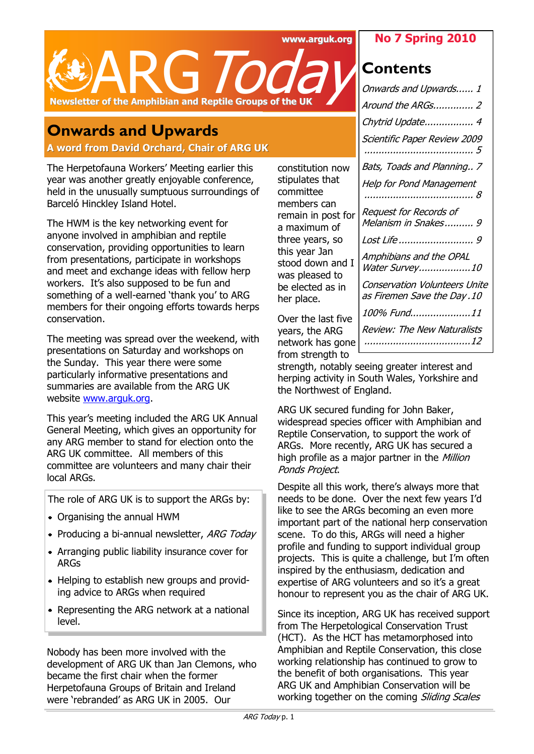**www.arguk.org**

## **No 7 Spring 2010**

**Contents**



# **Onwards and Upwards**

**A word from David Orchard, Chair of ARG UK**

The Herpetofauna Workers' Meeting earlier this year was another greatly enjoyable conference, held in the unusually sumptuous surroundings of Barceló Hinckley Island Hotel.

The HWM is the key networking event for anyone involved in amphibian and reptile conservation, providing opportunities to learn from presentations, participate in workshops and meet and exchange ideas with fellow herp workers. It's also supposed to be fun and something of a well-earned 'thank you' to ARG members for their ongoing efforts towards herps conservation.

The meeting was spread over the weekend, with presentations on Saturday and workshops on the Sunday. This year there were some particularly informative presentations and summaries are available from the ARG UK website [www.arguk.org.](http://www.arguk.org) 

This year's meeting included the ARG UK Annual General Meeting, which gives an opportunity for any ARG member to stand for election onto the ARG UK committee. All members of this committee are volunteers and many chair their local ARGs.

The role of ARG UK is to support the ARGs by:

- Organising the annual HWM
- Producing a bi-annual newsletter, ARG Today
- Arranging public liability insurance cover for ARGs
- Helping to establish new groups and providing advice to ARGs when required
- Representing the ARG network at a national level.

Nobody has been more involved with the development of ARG UK than Jan Clemons, who became the first chair when the former Herpetofauna Groups of Britain and Ireland were 'rebranded' as ARG UK in 2005. Our

constitution now stipulates that committee members can remain in post for a maximum of three years, so this year Jan stood down and I was pleased to be elected as in her place.

Over the last five years, the ARG network has gone from strength to

| Onwards and Upwards 1                                        |
|--------------------------------------------------------------|
| Around the ARGs 2                                            |
| Chytrid Update 4                                             |
| Scientific Paper Review 2009                                 |
| Bats, Toads and Planning 7                                   |
| Help for Pond Management<br>. 8                              |
| Request for Records of<br>Melanism in Snakes 9               |
|                                                              |
| Amphibians and the OPAL<br>Water Survey10                    |
| Conservation Volunteers Unite<br>as Firemen Save the Day .10 |
| 100% Fund11                                                  |
| Review: The New Naturalists                                  |
|                                                              |

strength, notably seeing greater interest and herping activity in South Wales, Yorkshire and the Northwest of England.

ARG UK secured funding for John Baker, widespread species officer with Amphibian and Reptile Conservation, to support the work of ARGs. More recently, ARG UK has secured a high profile as a major partner in the *Million* Ponds Project.

Despite all this work, there's always more that needs to be done. Over the next few years I'd like to see the ARGs becoming an even more important part of the national herp conservation scene. To do this, ARGs will need a higher profile and funding to support individual group projects. This is quite a challenge, but I'm often inspired by the enthusiasm, dedication and expertise of ARG volunteers and so it's a great honour to represent you as the chair of ARG UK.

Since its inception, ARG UK has received support from The Herpetological Conservation Trust (HCT). As the HCT has metamorphosed into Amphibian and Reptile Conservation, this close working relationship has continued to grow to the benefit of both organisations. This year ARG UK and Amphibian Conservation will be working together on the coming Sliding Scales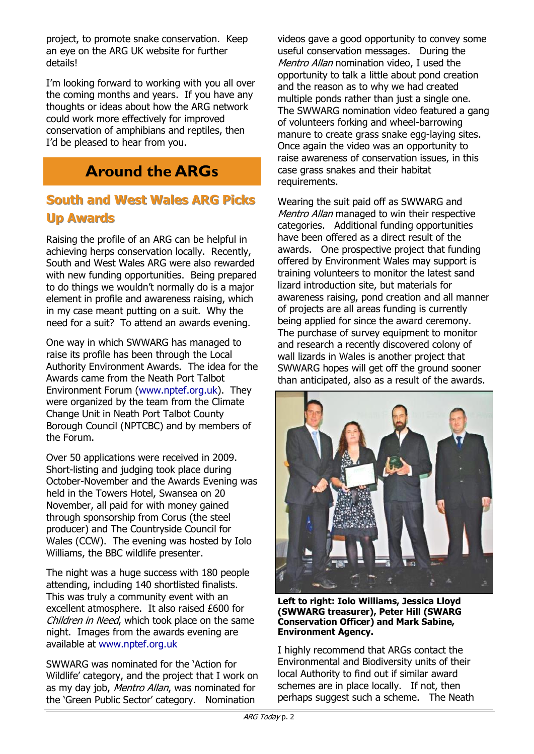project, to promote snake conservation. Keep an eye on the ARG UK website for further details!

I'm looking forward to working with you all over the coming months and years. If you have any thoughts or ideas about how the ARG network could work more effectively for improved conservation of amphibians and reptiles, then I'd be pleased to hear from you.

# **Around the ARGs**

# **South and West Wales ARG Picks Up Awards**

Raising the profile of an ARG can be helpful in achieving herps conservation locally. Recently, South and West Wales ARG were also rewarded with new funding opportunities. Being prepared to do things we wouldn't normally do is a major element in profile and awareness raising, which in my case meant putting on a suit. Why the need for a suit? To attend an awards evening.

One way in which SWWARG has managed to raise its profile has been through the Local Authority Environment Awards. The idea for the Awards came from the Neath Port Talbot Environment Forum (www.nptef.org.uk). They were organized by the team from the Climate Change Unit in Neath Port Talbot County Borough Council (NPTCBC) and by members of the Forum.

Over 50 applications were received in 2009. Short-listing and judging took place during October-November and the Awards Evening was held in the Towers Hotel, Swansea on 20 November, all paid for with money gained through sponsorship from Corus (the steel producer) and The Countryside Council for Wales (CCW). The evening was hosted by Iolo Williams, the BBC wildlife presenter.

The night was a huge success with 180 people attending, including 140 shortlisted finalists. This was truly a community event with an excellent atmosphere. It also raised £600 for Children in Need, which took place on the same night. Images from the awards evening are available at www.nptef.org.uk

SWWARG was nominated for the 'Action for Wildlife' category, and the project that I work on as my day job, Mentro Allan, was nominated for the 'Green Public Sector' category. Nomination

videos gave a good opportunity to convey some useful conservation messages. During the Mentro Allan nomination video, I used the opportunity to talk a little about pond creation and the reason as to why we had created multiple ponds rather than just a single one. The SWWARG nomination video featured a gang of volunteers forking and wheel-barrowing manure to create grass snake egg-laying sites. Once again the video was an opportunity to raise awareness of conservation issues, in this case grass snakes and their habitat requirements.

Wearing the suit paid off as SWWARG and Mentro Allan managed to win their respective categories. Additional funding opportunities have been offered as a direct result of the awards. One prospective project that funding offered by Environment Wales may support is training volunteers to monitor the latest sand lizard introduction site, but materials for awareness raising, pond creation and all manner of projects are all areas funding is currently being applied for since the award ceremony. The purchase of survey equipment to monitor and research a recently discovered colony of wall lizards in Wales is another project that SWWARG hopes will get off the ground sooner than anticipated, also as a result of the awards.



**Left to right: Iolo Williams, Jessica Lloyd (SWWARG treasurer), Peter Hill (SWARG Conservation Officer) and Mark Sabine, Environment Agency.**

I highly recommend that ARGs contact the Environmental and Biodiversity units of their local Authority to find out if similar award schemes are in place locally. If not, then perhaps suggest such a scheme. The Neath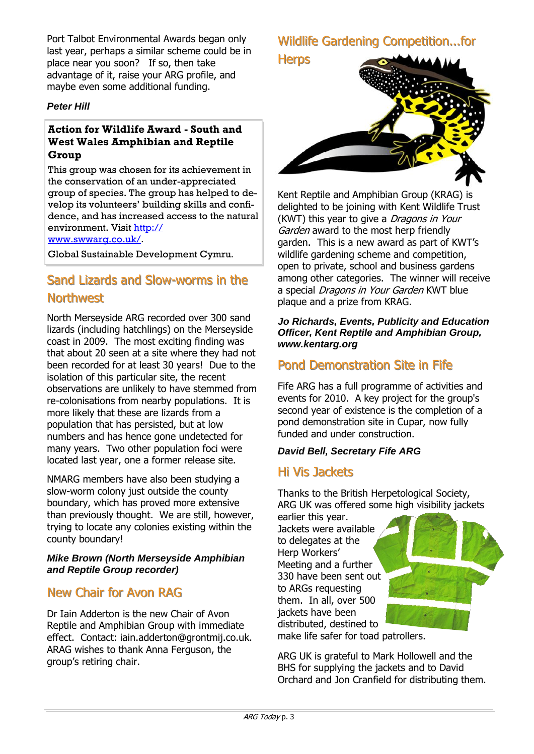Port Talbot Environmental Awards began only last year, perhaps a similar scheme could be in place near you soon? If so, then take advantage of it, raise your ARG profile, and maybe even some additional funding.

### *Peter Hill*

### **Action for Wildlife Award - South and West Wales Amphibian and Reptile Group**

This group was chosen for its achievement in the conservation of an under-appreciated group of species. The group has helped to develop its volunteers' building skills and confidence, and has increased access to the natural environment. Visit [http://](http://www.swwarg.co.uk/)

[www.swwarg.co.uk/.](http://www.swwarg.co.uk/)

Global Sustainable Development Cymru.

# Sand Lizards and Slow-worms in the **Northwest**

North Merseyside ARG recorded over 300 sand lizards (including hatchlings) on the Merseyside coast in 2009. The most exciting finding was that about 20 seen at a site where they had not been recorded for at least 30 years! Due to the isolation of this particular site, the recent observations are unlikely to have stemmed from re-colonisations from nearby populations. It is more likely that these are lizards from a population that has persisted, but at low numbers and has hence gone undetected for many years. Two other population foci were located last year, one a former release site.

NMARG members have also been studying a slow-worm colony just outside the county boundary, which has proved more extensive than previously thought. We are still, however, trying to locate any colonies existing within the county boundary!

### *Mike Brown (North Merseyside Amphibian and Reptile Group recorder)*

# New Chair for Avon RAG

Dr Iain Adderton is the new Chair of Avon Reptile and Amphibian Group with immediate effect. Contact: iain.adderton@grontmij.co.uk. ARAG wishes to thank Anna Ferguson, the group's retiring chair.

Wildlife Gardening Competition...for **Herps** 



Kent Reptile and Amphibian Group (KRAG) is delighted to be joining with Kent Wildlife Trust (KWT) this year to give a *Dragons in Your* Garden award to the most herp friendly garden. This is a new award as part of KWT's wildlife gardening scheme and competition, open to private, school and business gardens among other categories. The winner will receive a special Dragons in Your Garden KWT blue plaque and a prize from KRAG.

#### *Jo Richards, Events, Publicity and Education Officer, Kent Reptile and Amphibian Group, [www.kentarg.org](http://www.kentarg.org)*

# Pond Demonstration Site in Fife

Fife ARG has a full programme of activities and events for 2010. A key project for the group's second year of existence is the completion of a pond demonstration site in Cupar, now fully funded and under construction.

## *David Bell, Secretary Fife ARG*

## Hi Vis Jackets

Thanks to the British Herpetological Society, ARG UK was offered some high visibility jackets

earlier this year. Jackets were available to delegates at the Herp Workers' Meeting and a further 330 have been sent out to ARGs requesting them. In all, over 500 jackets have been distributed, destined to make life safer for toad patrollers.

ARG UK is grateful to Mark Hollowell and the BHS for supplying the jackets and to David Orchard and Jon Cranfield for distributing them.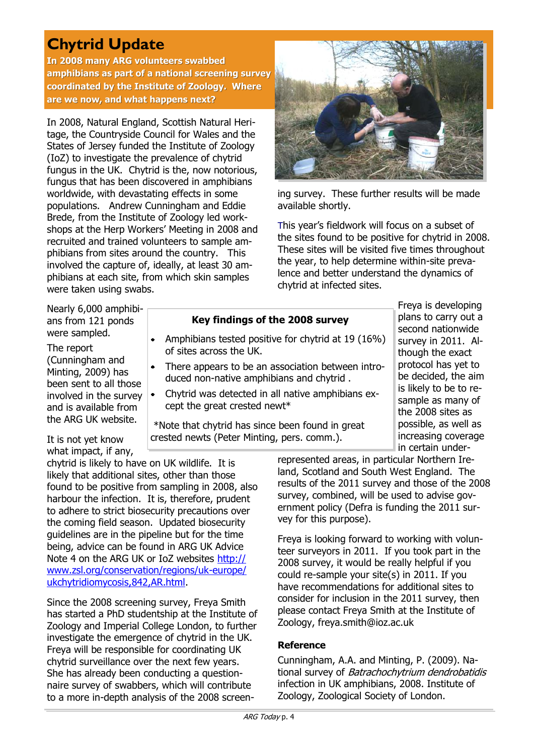# **Chytrid Update**

**In 2008 many ARG volunteers swabbed amphibians as part of a national screening survey coordinated by the Institute of Zoology. Where are we now, and what happens next?**

In 2008, Natural England, Scottish Natural Heritage, the Countryside Council for Wales and the States of Jersey funded the Institute of Zoology (IoZ) to investigate the prevalence of chytrid fungus in the UK. Chytrid is the, now notorious, fungus that has been discovered in amphibians worldwide, with devastating effects in some populations. Andrew Cunningham and Eddie Brede, from the Institute of Zoology led workshops at the Herp Workers' Meeting in 2008 and recruited and trained volunteers to sample amphibians from sites around the country. This involved the capture of, ideally, at least 30 amphibians at each site, from which skin samples were taken using swabs.



ing survey. These further results will be made available shortly.

This year's fieldwork will focus on a subset of the sites found to be positive for chytrid in 2008. These sites will be visited five times throughout the year, to help determine within-site prevalence and better understand the dynamics of chytrid at infected sites.

> Freya is developing plans to carry out a second nationwide survey in 2011. Although the exact protocol has yet to be decided, the aim is likely to be to resample as many of the 2008 sites as possible, as well as increasing coverage in certain under-

Nearly 6,000 amphibians from 121 ponds were sampled.

The report (Cunningham and Minting, 2009) has been sent to all those involved in the survey and is available from the ARG UK website.

## **Key findings of the 2008 survey**

- Amphibians tested positive for chytrid at 19 (16%) of sites across the UK.
- $\bullet$ There appears to be an association between introduced non-native amphibians and chytrid .
- Chytrid was detected in all native amphibians except the great crested newt\*

\*Note that chytrid has since been found in great crested newts (Peter Minting, pers. comm.).

It is not yet know what impact, if any,

chytrid is likely to have on UK wildlife. It is likely that additional sites, other than those found to be positive from sampling in 2008, also harbour the infection. It is, therefore, prudent to adhere to strict biosecurity precautions over the coming field season. Updated biosecurity guidelines are in the pipeline but for the time being, advice can be found in ARG UK Advice Note 4 on the ARG UK or IoZ websites [http://](http://www.zsl.org/conservation/regions/uk-europe/ukchytridiomycosis,842,AR.html) [www.zsl.org/conservation/regions/uk-europe/](http://www.zsl.org/conservation/regions/uk-europe/ukchytridiomycosis,842,AR.html) [ukchytridiomycosis,842,AR.html.](http://www.zsl.org/conservation/regions/uk-europe/ukchytridiomycosis,842,AR.html)

Since the 2008 screening survey, Freya Smith has started a PhD studentship at the Institute of Zoology and Imperial College London, to further investigate the emergence of chytrid in the UK. Freya will be responsible for coordinating UK chytrid surveillance over the next few years. She has already been conducting a questionnaire survey of swabbers, which will contribute to a more in-depth analysis of the 2008 screenrepresented areas, in particular Northern Ireland, Scotland and South West England. The results of the 2011 survey and those of the 2008 survey, combined, will be used to advise government policy (Defra is funding the 2011 survey for this purpose).

Freya is looking forward to working with volunteer surveyors in 2011. If you took part in the 2008 survey, it would be really helpful if you could re-sample your site(s) in 2011. If you have recommendations for additional sites to consider for inclusion in the 2011 survey, then please contact Freya Smith at the Institute of Zoology, freya.smith@ioz.ac.uk

### **Reference**

Cunningham, A.A. and Minting, P. (2009). National survey of Batrachochytrium dendrobatidis infection in UK amphibians, 2008. Institute of Zoology, Zoological Society of London.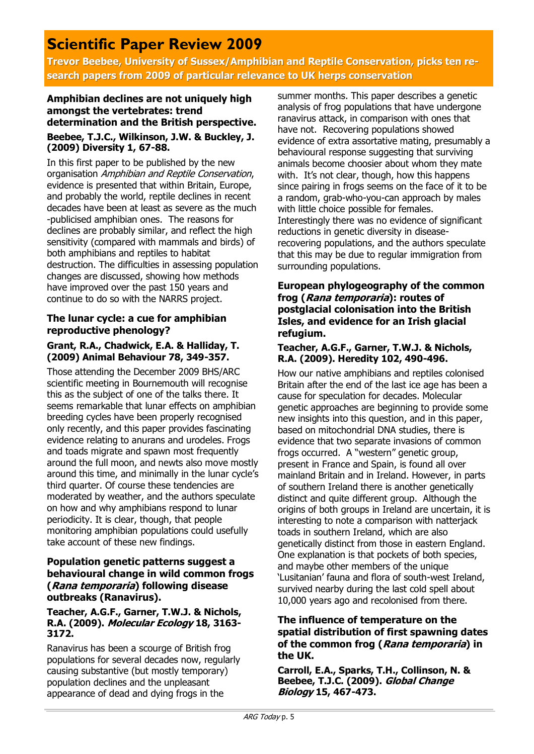# **Scientific Paper Review 2009**

**Trevor Beebee, University of Sussex/Amphibian and Reptile Conservation, picks ten research papers from 2009 of particular relevance to UK herps conservation**

### **Amphibian declines are not uniquely high amongst the vertebrates: trend determination and the British perspective. Beebee, T.J.C., Wilkinson, J.W. & Buckley, J. (2009) Diversity 1, 67-88.**

In this first paper to be published by the new organisation Amphibian and Reptile Conservation, evidence is presented that within Britain, Europe, and probably the world, reptile declines in recent decades have been at least as severe as the much -publicised amphibian ones. The reasons for declines are probably similar, and reflect the high sensitivity (compared with mammals and birds) of both amphibians and reptiles to habitat destruction. The difficulties in assessing population changes are discussed, showing how methods have improved over the past 150 years and continue to do so with the NARRS project.

### **The lunar cycle: a cue for amphibian reproductive phenology?**

### **Grant, R.A., Chadwick, E.A. & Halliday, T. (2009) Animal Behaviour 78, 349-357.**

Those attending the December 2009 BHS/ARC scientific meeting in Bournemouth will recognise this as the subject of one of the talks there. It seems remarkable that lunar effects on amphibian breeding cycles have been properly recognised only recently, and this paper provides fascinating evidence relating to anurans and urodeles. Frogs and toads migrate and spawn most frequently around the full moon, and newts also move mostly around this time, and minimally in the lunar cycle's third quarter. Of course these tendencies are moderated by weather, and the authors speculate on how and why amphibians respond to lunar periodicity. It is clear, though, that people monitoring amphibian populations could usefully take account of these new findings.

#### **Population genetic patterns suggest a behavioural change in wild common frogs (Rana temporaria) following disease outbreaks (Ranavirus).**

#### **Teacher, A.G.F., Garner, T.W.J. & Nichols, R.A. (2009). Molecular Ecology 18, 3163- 3172.**

Ranavirus has been a scourge of British frog populations for several decades now, regularly causing substantive (but mostly temporary) population declines and the unpleasant appearance of dead and dying frogs in the

summer months. This paper describes a genetic analysis of frog populations that have undergone ranavirus attack, in comparison with ones that have not. Recovering populations showed evidence of extra assortative mating, presumably a behavioural response suggesting that surviving animals become choosier about whom they mate with. It's not clear, though, how this happens since pairing in frogs seems on the face of it to be a random, grab-who-you-can approach by males with little choice possible for females. Interestingly there was no evidence of significant reductions in genetic diversity in diseaserecovering populations, and the authors speculate that this may be due to regular immigration from surrounding populations.

#### **European phylogeography of the common frog (Rana temporaria): routes of postglacial colonisation into the British Isles, and evidence for an Irish glacial refugium.**

#### **Teacher, A.G.F., Garner, T.W.J. & Nichols, R.A. (2009). Heredity 102, 490-496.**

How our native amphibians and reptiles colonised Britain after the end of the last ice age has been a cause for speculation for decades. Molecular genetic approaches are beginning to provide some new insights into this question, and in this paper, based on mitochondrial DNA studies, there is evidence that two separate invasions of common frogs occurred. A "western" genetic group, present in France and Spain, is found all over mainland Britain and in Ireland. However, in parts of southern Ireland there is another genetically distinct and quite different group. Although the origins of both groups in Ireland are uncertain, it is interesting to note a comparison with natterjack toads in southern Ireland, which are also genetically distinct from those in eastern England. One explanation is that pockets of both species, and maybe other members of the unique ‗Lusitanian' fauna and flora of south-west Ireland, survived nearby during the last cold spell about 10,000 years ago and recolonised from there.

### **The influence of temperature on the spatial distribution of first spawning dates of the common frog (Rana temporaria) in the UK.**

**Carroll, E.A., Sparks, T.H., Collinson, N. & Beebee, T.J.C. (2009). Global Change Biology 15, 467-473.**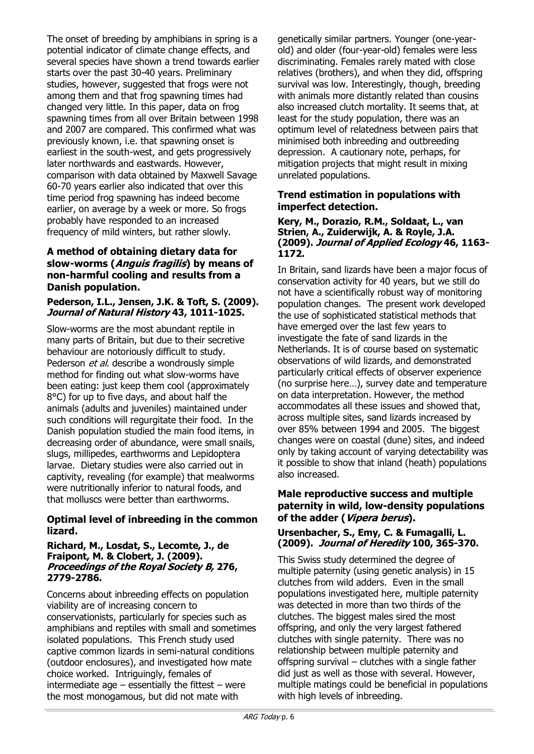The onset of breeding by amphibians in spring is a potential indicator of climate change effects, and several species have shown a trend towards earlier starts over the past 30-40 years. Preliminary studies, however, suggested that frogs were not among them and that frog spawning times had changed very little. In this paper, data on frog spawning times from all over Britain between 1998 and 2007 are compared. This confirmed what was previously known, i.e. that spawning onset is earliest in the south-west, and gets progressively later northwards and eastwards. However, comparison with data obtained by Maxwell Savage 60-70 years earlier also indicated that over this time period frog spawning has indeed become earlier, on average by a week or more. So frogs probably have responded to an increased frequency of mild winters, but rather slowly.

### **A method of obtaining dietary data for slow-worms (Anguis fragilis) by means of non-harmful cooling and results from a Danish population.**

#### **Pederson, I.L., Jensen, J.K. & Toft, S. (2009). Journal of Natural History 43, 1011-1025.**

Slow-worms are the most abundant reptile in many parts of Britain, but due to their secretive behaviour are notoriously difficult to study. Pederson et al. describe a wondrously simple method for finding out what slow-worms have been eating: just keep them cool (approximately 8°C) for up to five days, and about half the animals (adults and juveniles) maintained under such conditions will regurgitate their food. In the Danish population studied the main food items, in decreasing order of abundance, were small snails, slugs, millipedes, earthworms and Lepidoptera larvae. Dietary studies were also carried out in captivity, revealing (for example) that mealworms were nutritionally inferior to natural foods, and that molluscs were better than earthworms.

## **Optimal level of inbreeding in the common lizard.**

#### **Richard, M., Losdat, S., Lecomte, J., de Fraipont, M. & Clobert, J. (2009). Proceedings of the Royal Society B, 276, 2779-2786.**

Concerns about inbreeding effects on population viability are of increasing concern to conservationists, particularly for species such as amphibians and reptiles with small and sometimes isolated populations. This French study used captive common lizards in semi-natural conditions (outdoor enclosures), and investigated how mate choice worked. Intriguingly, females of intermediate age  $-$  essentially the fittest  $-$  were the most monogamous, but did not mate with

genetically similar partners. Younger (one-yearold) and older (four-year-old) females were less discriminating. Females rarely mated with close relatives (brothers), and when they did, offspring survival was low. Interestingly, though, breeding with animals more distantly related than cousins also increased clutch mortality. It seems that, at least for the study population, there was an optimum level of relatedness between pairs that minimised both inbreeding and outbreeding depression. A cautionary note, perhaps, for mitigation projects that might result in mixing unrelated populations.

### **Trend estimation in populations with imperfect detection.**

#### **Kery, M., Dorazio, R.M., Soldaat, L., van Strien, A., Zuiderwijk, A. & Royle, J.A. (2009). Journal of Applied Ecology 46, 1163- 1172.**

In Britain, sand lizards have been a major focus of conservation activity for 40 years, but we still do not have a scientifically robust way of monitoring population changes. The present work developed the use of sophisticated statistical methods that have emerged over the last few years to investigate the fate of sand lizards in the Netherlands. It is of course based on systematic observations of wild lizards, and demonstrated particularly critical effects of observer experience (no surprise here…), survey date and temperature on data interpretation. However, the method accommodates all these issues and showed that, across multiple sites, sand lizards increased by over 85% between 1994 and 2005. The biggest changes were on coastal (dune) sites, and indeed only by taking account of varying detectability was it possible to show that inland (heath) populations also increased.

#### **Male reproductive success and multiple paternity in wild, low-density populations of the adder (Vipera berus).**

### **Ursenbacher, S., Emy, C. & Fumagalli, L. (2009). Journal of Heredity 100, 365-370.**

This Swiss study determined the degree of multiple paternity (using genetic analysis) in 15 clutches from wild adders. Even in the small populations investigated here, multiple paternity was detected in more than two thirds of the clutches. The biggest males sired the most offspring, and only the very largest fathered clutches with single paternity. There was no relationship between multiple paternity and offspring survival – clutches with a single father did just as well as those with several. However, multiple matings could be beneficial in populations with high levels of inbreeding.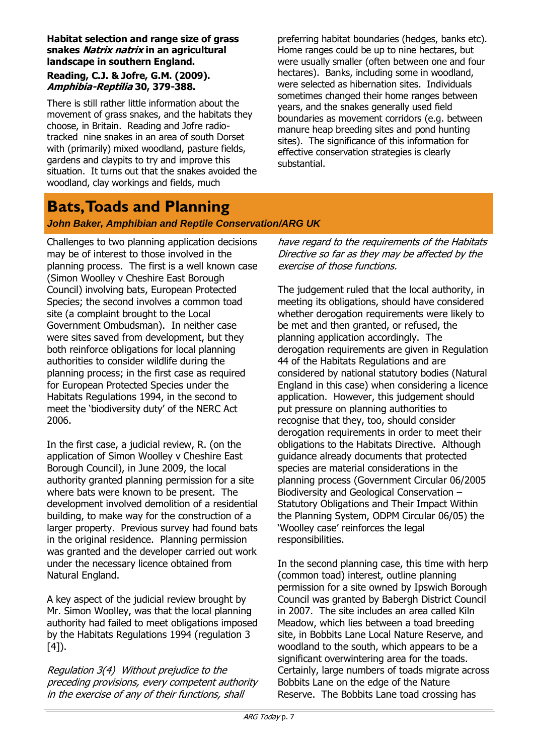#### **Habitat selection and range size of grass snakes Natrix natrix in an agricultural landscape in southern England.**

### **Reading, C.J. & Jofre, G.M. (2009). Amphibia-Reptilia 30, 379-388.**

There is still rather little information about the movement of grass snakes, and the habitats they choose, in Britain. Reading and Jofre radiotracked nine snakes in an area of south Dorset with (primarily) mixed woodland, pasture fields, gardens and claypits to try and improve this situation. It turns out that the snakes avoided the woodland, clay workings and fields, much

preferring habitat boundaries (hedges, banks etc). Home ranges could be up to nine hectares, but were usually smaller (often between one and four hectares). Banks, including some in woodland, were selected as hibernation sites. Individuals sometimes changed their home ranges between years, and the snakes generally used field boundaries as movement corridors (e.g. between manure heap breeding sites and pond hunting sites). The significance of this information for effective conservation strategies is clearly substantial.

# **Bats, Toads and Planning**

## *John Baker, Amphibian and Reptile Conservation/ARG UK*

Challenges to two planning application decisions may be of interest to those involved in the planning process. The first is a well known case (Simon Woolley v Cheshire East Borough Council) involving bats, European Protected Species; the second involves a common toad site (a complaint brought to the Local Government Ombudsman). In neither case were sites saved from development, but they both reinforce obligations for local planning authorities to consider wildlife during the planning process; in the first case as required for European Protected Species under the Habitats Regulations 1994, in the second to meet the 'biodiversity duty' of the NERC Act 2006.

In the first case, a judicial review, R. (on the application of Simon Woolley v Cheshire East Borough Council), in June 2009, the local authority granted planning permission for a site where bats were known to be present. The development involved demolition of a residential building, to make way for the construction of a larger property. Previous survey had found bats in the original residence. Planning permission was granted and the developer carried out work under the necessary licence obtained from Natural England.

A key aspect of the judicial review brought by Mr. Simon Woolley, was that the local planning authority had failed to meet obligations imposed by the Habitats Regulations 1994 (regulation 3  $[4]$ ).

Regulation 3(4) Without prejudice to the preceding provisions, every competent authority in the exercise of any of their functions, shall

have regard to the requirements of the Habitats Directive so far as they may be affected by the exercise of those functions.

The judgement ruled that the local authority, in meeting its obligations, should have considered whether derogation requirements were likely to be met and then granted, or refused, the planning application accordingly. The derogation requirements are given in Regulation 44 of the Habitats Regulations and are considered by national statutory bodies (Natural England in this case) when considering a licence application. However, this judgement should put pressure on planning authorities to recognise that they, too, should consider derogation requirements in order to meet their obligations to the Habitats Directive. Although guidance already documents that protected species are material considerations in the planning process (Government Circular 06/2005 Biodiversity and Geological Conservation – Statutory Obligations and Their Impact Within the Planning System, ODPM Circular 06/05) the ‗Woolley case' reinforces the legal responsibilities.

In the second planning case, this time with herp (common toad) interest, outline planning permission for a site owned by Ipswich Borough Council was granted by Babergh District Council in 2007. The site includes an area called Kiln Meadow, which lies between a toad breeding site, in Bobbits Lane Local Nature Reserve, and woodland to the south, which appears to be a significant overwintering area for the toads. Certainly, large numbers of toads migrate across Bobbits Lane on the edge of the Nature Reserve. The Bobbits Lane toad crossing has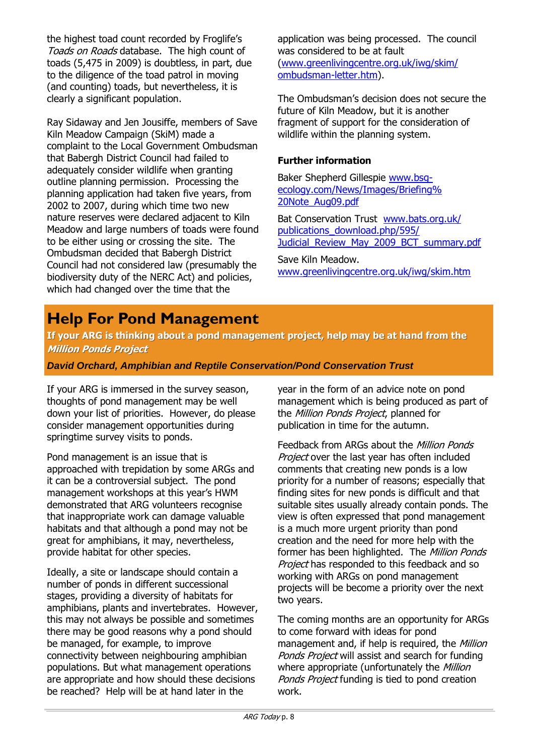the highest toad count recorded by Froglife's Toads on Roads database. The high count of toads (5,475 in 2009) is doubtless, in part, due to the diligence of the toad patrol in moving (and counting) toads, but nevertheless, it is clearly a significant population.

Ray Sidaway and Jen Jousiffe, members of Save Kiln Meadow Campaign (SkiM) made a complaint to the Local Government Ombudsman that Babergh District Council had failed to adequately consider wildlife when granting outline planning permission. Processing the planning application had taken five years, from 2002 to 2007, during which time two new nature reserves were declared adjacent to Kiln Meadow and large numbers of toads were found to be either using or crossing the site. The Ombudsman decided that Babergh District Council had not considered law (presumably the biodiversity duty of the NERC Act) and policies, which had changed over the time that the

application was being processed. The council was considered to be at fault ([www.greenlivingcentre.org.uk/iwg/skim/](http://www.greenlivingcentre.org.uk/iwg/skim/ombudsman-letter.htm) [ombudsman-letter.htm\)](http://www.greenlivingcentre.org.uk/iwg/skim/ombudsman-letter.htm).

The Ombudsman's decision does not secure the future of Kiln Meadow, but it is another fragment of support for the consideration of wildlife within the planning system.

### **Further information**

Baker Shepherd Gillespie [www.bsg](http://www.bsg-ecology.com/News/Images/Briefing%20Note_Aug09.pdf)[ecology.com/News/Images/Briefing%](http://www.bsg-ecology.com/News/Images/Briefing%20Note_Aug09.pdf) [20Note\\_Aug09.pdf](http://www.bsg-ecology.com/News/Images/Briefing%20Note_Aug09.pdf)

Bat Conservation Trust [www.bats.org.uk/](http://www.bats.org.uk/publications_download.php/595/Judicial_Review_May_2009_BCT_summary.pdf) [publications\\_download.php/595/](http://www.bats.org.uk/publications_download.php/595/Judicial_Review_May_2009_BCT_summary.pdf) Judicial Review May 2009 BCT summary.pdf

Save Kiln Meadow. [www.greenlivingcentre.org.uk/iwg/skim.htm](http://www.greenlivingcentre.org.uk/iwg/skim.htm)

# **Help For Pond Management**

**If your ARG is thinking about a pond management project, help may be at hand from the Million Ponds Project**

*David Orchard, Amphibian and Reptile Conservation/Pond Conservation Trust*

If your ARG is immersed in the survey season, thoughts of pond management may be well down your list of priorities. However, do please consider management opportunities during springtime survey visits to ponds.

Pond management is an issue that is approached with trepidation by some ARGs and it can be a controversial subject. The pond management workshops at this year's HWM demonstrated that ARG volunteers recognise that inappropriate work can damage valuable habitats and that although a pond may not be great for amphibians, it may, nevertheless, provide habitat for other species.

Ideally, a site or landscape should contain a number of ponds in different successional stages, providing a diversity of habitats for amphibians, plants and invertebrates. However, this may not always be possible and sometimes there may be good reasons why a pond should be managed, for example, to improve connectivity between neighbouring amphibian populations. But what management operations are appropriate and how should these decisions be reached? Help will be at hand later in the

year in the form of an advice note on pond management which is being produced as part of the Million Ponds Project, planned for publication in time for the autumn.

Feedback from ARGs about the *Million Ponds* Project over the last year has often included comments that creating new ponds is a low priority for a number of reasons; especially that finding sites for new ponds is difficult and that suitable sites usually already contain ponds. The view is often expressed that pond management is a much more urgent priority than pond creation and the need for more help with the former has been highlighted. The Million Ponds Project has responded to this feedback and so working with ARGs on pond management projects will be become a priority over the next two years.

The coming months are an opportunity for ARGs to come forward with ideas for pond management and, if help is required, the Million Ponds Project will assist and search for funding where appropriate (unfortunately the Million Ponds Project funding is tied to pond creation work.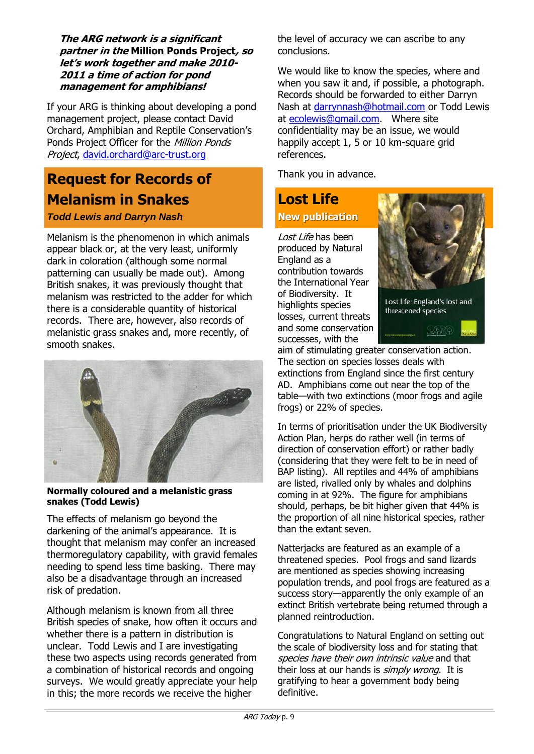**The ARG network is a significant partner in the Million Ponds Project, so let's work together and make 2010- 2011 a time of action for pond management for amphibians!** 

If your ARG is thinking about developing a pond management project, please contact David Orchard, Amphibian and Reptile Conservation's Ponds Project Officer for the Million Ponds Project, [david.orchard@arc-trust.org](mailto:david.orchard@arc-trust.org)

# **Request for Records of Melanism in Snakes**

### *Todd Lewis and Darryn Nash*

Melanism is the phenomenon in which animals appear black or, at the very least, uniformly dark in coloration (although some normal patterning can usually be made out). Among British snakes, it was previously thought that melanism was restricted to the adder for which there is a considerable quantity of historical records. There are, however, also records of melanistic grass snakes and, more recently, of smooth snakes.



#### **Normally coloured and a melanistic grass snakes (Todd Lewis)**

The effects of melanism go beyond the darkening of the animal's appearance. It is thought that melanism may confer an increased thermoregulatory capability, with gravid females needing to spend less time basking. There may also be a disadvantage through an increased risk of predation.

Although melanism is known from all three British species of snake, how often it occurs and whether there is a pattern in distribution is unclear. Todd Lewis and I are investigating these two aspects using records generated from a combination of historical records and ongoing surveys. We would greatly appreciate your help in this; the more records we receive the higher

the level of accuracy we can ascribe to any conclusions.

We would like to know the species, where and when you saw it and, if possible, a photograph. Records should be forwarded to either Darryn Nash at [darrynnash@hotmail.com](mailto:darrynnash@hotmail.com) or Todd Lewis at [ecolewis@gmail.com.](mailto:ecolewis@gmail.com) Where site confidentiality may be an issue, we would happily accept 1, 5 or 10 km-square grid references.

Thank you in advance.

# **Lost Life New publication**

Lost Life has been produced by Natural England as a contribution towards the International Year of Biodiversity. It highlights species losses, current threats and some conservation successes, with the



Lost life: England's lost and threatened species

 $2.319$ 

aim of stimulating greater conservation action. The section on species losses deals with extinctions from England since the first century AD. Amphibians come out near the top of the table—with two extinctions (moor frogs and agile frogs) or 22% of species.

In terms of prioritisation under the UK Biodiversity Action Plan, herps do rather well (in terms of direction of conservation effort) or rather badly (considering that they were felt to be in need of BAP listing). All reptiles and 44% of amphibians are listed, rivalled only by whales and dolphins coming in at 92%. The figure for amphibians should, perhaps, be bit higher given that 44% is the proportion of all nine historical species, rather than the extant seven.

Natterjacks are featured as an example of a threatened species. Pool frogs and sand lizards are mentioned as species showing increasing population trends, and pool frogs are featured as a success story—apparently the only example of an extinct British vertebrate being returned through a planned reintroduction.

Congratulations to Natural England on setting out the scale of biodiversity loss and for stating that species have their own intrinsic value and that their loss at our hands is simply wrong. It is gratifying to hear a government body being definitive.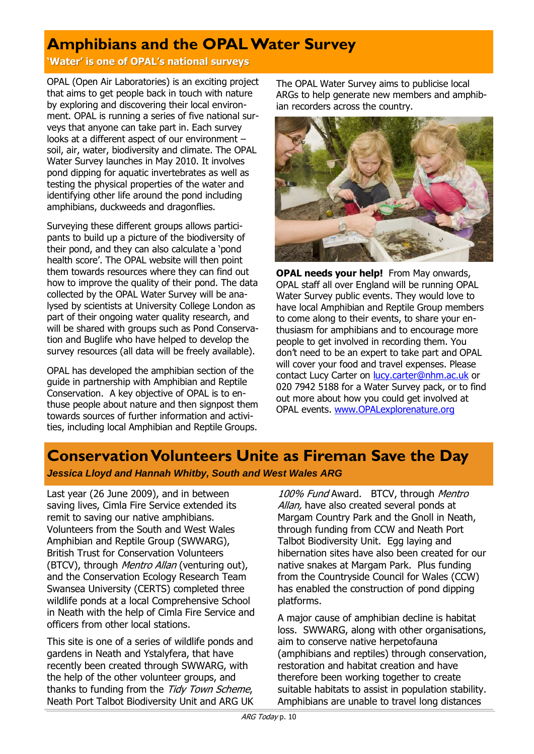# **Amphibians and the OPAL Water Survey**

**'Water' is one of OPAL's national surveys**

OPAL (Open Air Laboratories) is an exciting project that aims to get people back in touch with nature by exploring and discovering their local environment. OPAL is running a series of five national surveys that anyone can take part in. Each survey looks at a different aspect of our environment – soil, air, water, biodiversity and climate. The OPAL Water Survey launches in May 2010. It involves pond dipping for aquatic invertebrates as well as testing the physical properties of the water and identifying other life around the pond including amphibians, duckweeds and dragonflies.

Surveying these different groups allows participants to build up a picture of the biodiversity of their pond, and they can also calculate a 'pond health score'. The OPAL website will then point them towards resources where they can find out how to improve the quality of their pond. The data collected by the OPAL Water Survey will be analysed by scientists at University College London as part of their ongoing water quality research, and will be shared with groups such as Pond Conservation and Buglife who have helped to develop the survey resources (all data will be freely available).

OPAL has developed the amphibian section of the guide in partnership with Amphibian and Reptile Conservation. A key objective of OPAL is to enthuse people about nature and then signpost them towards sources of further information and activities, including local Amphibian and Reptile Groups.

The OPAL Water Survey aims to publicise local ARGs to help generate new members and amphibian recorders across the country.



**OPAL needs your help!** From May onwards, OPAL staff all over England will be running OPAL Water Survey public events. They would love to have local Amphibian and Reptile Group members to come along to their events, to share your enthusiasm for amphibians and to encourage more people to get involved in recording them. You don't need to be an expert to take part and OPAL will cover your food and travel expenses. Please contact Lucy Carter on [lucy.carter@nhm.ac.uk](mailto:lucy.carter@nhm.ac.uk) or 020 7942 5188 for a Water Survey pack, or to find out more about how you could get involved at OPAL events. [www.OPALexplorenature.org](http://www.opalexplorenature.org/)

# **Conservation Volunteers Unite as Fireman Save the Day**

*Jessica Lloyd and Hannah Whitby, South and West Wales ARG*

Last year (26 June 2009), and in between saving lives, Cimla Fire Service extended its remit to saving our native amphibians. Volunteers from the South and West Wales Amphibian and Reptile Group (SWWARG), British Trust for Conservation Volunteers (BTCV), through *Mentro Allan* (venturing out), and the Conservation Ecology Research Team Swansea University (CERTS) completed three wildlife ponds at a local Comprehensive School in Neath with the help of Cimla Fire Service and officers from other local stations.

This site is one of a series of wildlife ponds and gardens in Neath and Ystalyfera, that have recently been created through SWWARG, with the help of the other volunteer groups, and thanks to funding from the Tidy Town Scheme, Neath Port Talbot Biodiversity Unit and ARG UK

100% Fund Award. BTCV, through Mentro Allan, have also created several ponds at Margam Country Park and the Gnoll in Neath, through funding from CCW and Neath Port Talbot Biodiversity Unit. Egg laying and hibernation sites have also been created for our native snakes at Margam Park. Plus funding from the Countryside Council for Wales (CCW) has enabled the construction of pond dipping platforms.

A major cause of amphibian decline is habitat loss. SWWARG, along with other organisations, aim to conserve native herpetofauna (amphibians and reptiles) through conservation, restoration and habitat creation and have therefore been working together to create suitable habitats to assist in population stability. Amphibians are unable to travel long distances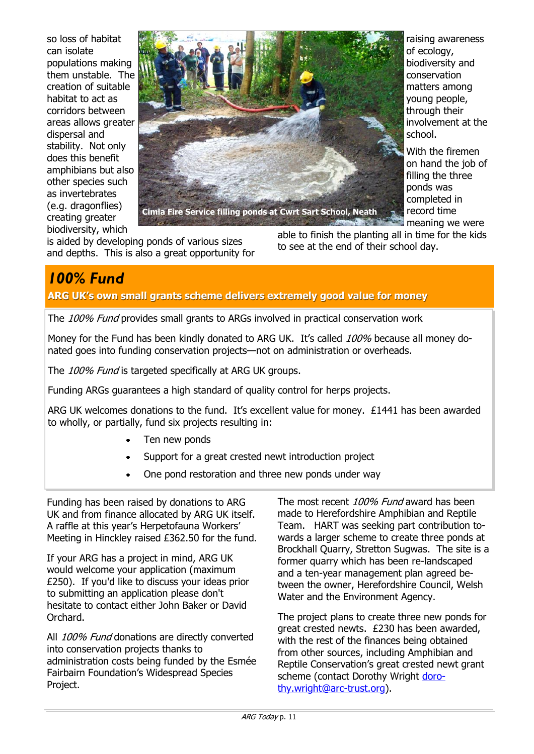so loss of habitat can isolate populations making them unstable. The creation of suitable habitat to act as corridors between areas allows greater dispersal and stability. Not only does this benefit amphibians but also other species such as invertebrates (e.g. dragonflies) creating greater biodiversity, which



is aided by developing ponds of various sizes and depths. This is also a great opportunity for able to finish the planting all in time for the kids to see at the end of their school day.

# *100% Fund*

**ARG UK's own small grants scheme delivers extremely good value for money**

The 100% Fund provides small grants to ARGs involved in practical conservation work

Money for the Fund has been kindly donated to ARG UK. It's called 100% because all money donated goes into funding conservation projects—not on administration or overheads.

The 100% Fund is targeted specifically at ARG UK groups.

Funding ARGs guarantees a high standard of quality control for herps projects.

ARG UK welcomes donations to the fund. It's excellent value for money. £1441 has been awarded to wholly, or partially, fund six projects resulting in:

- Ten new ponds
- Support for a great crested newt introduction project
- One pond restoration and three new ponds under way

Funding has been raised by donations to ARG UK and from finance allocated by ARG UK itself. A raffle at this year's Herpetofauna Workers' Meeting in Hinckley raised £362.50 for the fund.

If your ARG has a project in mind, ARG UK would welcome your application (maximum £250). If you'd like to discuss your ideas prior to submitting an application please don't hesitate to contact either John Baker or David Orchard.

All 100% Fund donations are directly converted into conservation projects thanks to administration costs being funded by the Esmée Fairbairn Foundation's Widespread Species Project.

The most recent 100% Fund award has been made to Herefordshire Amphibian and Reptile Team. HART was seeking part contribution towards a larger scheme to create three ponds at Brockhall Quarry, Stretton Sugwas. The site is a former quarry which has been re-landscaped and a ten-year management plan agreed between the owner, Herefordshire Council, Welsh Water and the Environment Agency.

The project plans to create three new ponds for great crested newts. £230 has been awarded, with the rest of the finances being obtained from other sources, including Amphibian and Reptile Conservation's great crested newt grant scheme (contact Dorothy Wright [doro](mailto:dorothy.wright@arc-trust.org)[thy.wright@arc-trust.org\).](mailto:dorothy.wright@arc-trust.org)